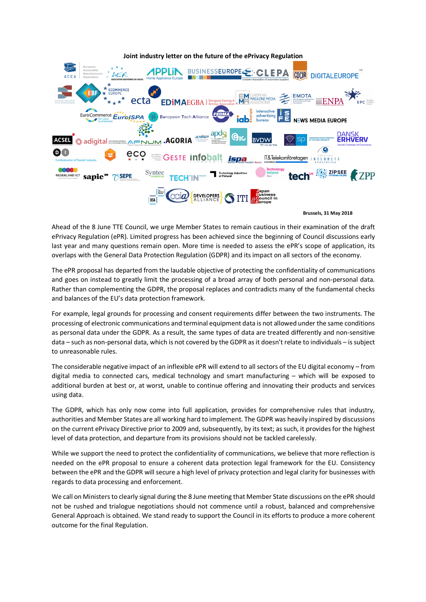

 **Brussels, 31 May 2018**

Ahead of the 8 June TTE Council, we urge Member States to remain cautious in their examination of the draft ePrivacy Regulation (ePR). Limited progress has been achieved since the beginning of Council discussions early last year and many questions remain open. More time is needed to assess the ePR's scope of application, its overlaps with the General Data Protection Regulation (GDPR) and its impact on all sectors of the economy.

The ePR proposal has departed from the laudable objective of protecting the confidentiality of communications and goes on instead to greatly limit the processing of a broad array of both personal and non-personal data. Rather than complementing the GDPR, the proposal replaces and contradicts many of the fundamental checks and balances of the EU's data protection framework.

For example, legal grounds for processing and consent requirements differ between the two instruments. The processing of electronic communications and terminal equipment data is not allowed under the same conditions as personal data under the GDPR. As a result, the same types of data are treated differently and non-sensitive data – such as non-personal data, which is not covered by the GDPR as it doesn't relate to individuals – is subject to unreasonable rules.

The considerable negative impact of an inflexible ePR will extend to all sectors of the EU digital economy – from digital media to connected cars, medical technology and smart manufacturing – which will be exposed to additional burden at best or, at worst, unable to continue offering and innovating their products and services using data.

The GDPR, which has only now come into full application, provides for comprehensive rules that industry, authorities and Member States are all working hard to implement. The GDPR was heavily inspired by discussions on the current ePrivacy Directive prior to 2009 and, subsequently, by its text; as such, it provides for the highest level of data protection, and departure from its provisions should not be tackled carelessly.

While we support the need to protect the confidentiality of communications, we believe that more reflection is needed on the ePR proposal to ensure a coherent data protection legal framework for the EU. Consistency between the ePR and the GDPR will secure a high level of privacy protection and legal clarity for businesses with regards to data processing and enforcement.

We call on Ministers to clearly signal during the 8 June meeting that Member State discussions on the ePR should not be rushed and trialogue negotiations should not commence until a robust, balanced and comprehensive General Approach is obtained. We stand ready to support the Council in its efforts to produce a more coherent outcome for the final Regulation.